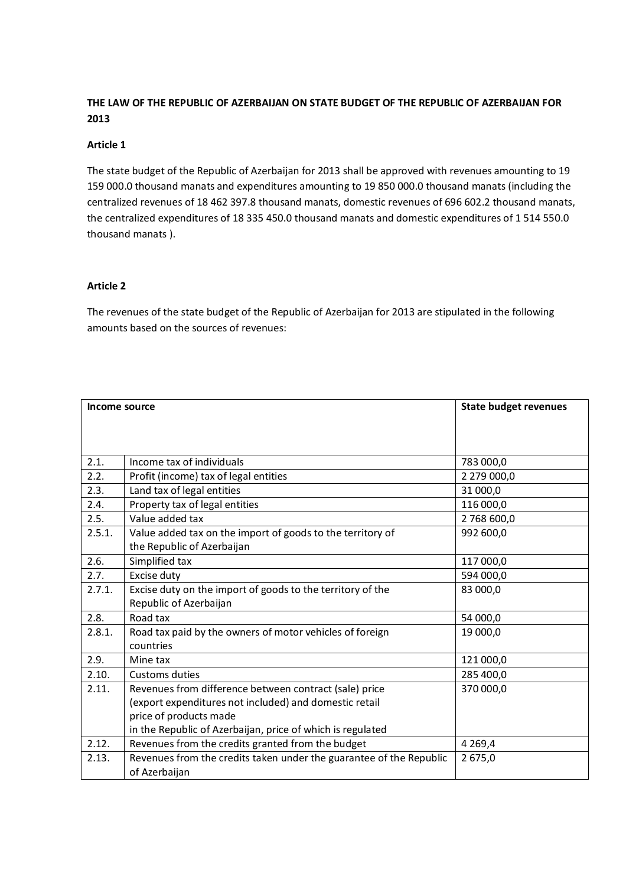### **THE LAW OF THE REPUBLIC OF AZERBAIJAN ON STATE BUDGET OF THE REPUBLIC OF AZERBAIJAN FOR 2013**

### **Article 1**

The state budget of the Republic of Azerbaijan for 2013 shall be approved with revenues amounting to 19 159 000.0 thousand manats and expenditures amounting to 19 850 000.0 thousand manats (including the centralized revenues of 18 462 397.8 thousand manats, domestic revenues of 696 602.2 thousand manats, the centralized expenditures of 18 335 450.0 thousand manats and domestic expenditures of 1 514 550.0 thousand manats ).

### **Article 2**

The revenues of the state budget of the Republic of Azerbaijan for 2013 are stipulated in the following amounts based on the sources of revenues:

| Income source |                                                                     | <b>State budget revenues</b> |
|---------------|---------------------------------------------------------------------|------------------------------|
|               |                                                                     |                              |
|               |                                                                     |                              |
|               |                                                                     |                              |
| 2.1.          | Income tax of individuals                                           | 783 000,0                    |
| 2.2.          | Profit (income) tax of legal entities                               | 2 279 000,0                  |
| 2.3.          | Land tax of legal entities                                          | 31 000,0                     |
| 2.4.          | Property tax of legal entities                                      | 116 000,0                    |
| 2.5.          | Value added tax                                                     | 2 768 600,0                  |
| 2.5.1.        | Value added tax on the import of goods to the territory of          | 992 600,0                    |
|               | the Republic of Azerbaijan                                          |                              |
| 2.6.          | Simplified tax                                                      | 117 000,0                    |
| 2.7.          | Excise duty                                                         | 594 000,0                    |
| 2.7.1.        | Excise duty on the import of goods to the territory of the          | 83 000,0                     |
|               | Republic of Azerbaijan                                              |                              |
| 2.8.          | Road tax                                                            | 54 000,0                     |
| 2.8.1.        | Road tax paid by the owners of motor vehicles of foreign            | 19 000,0                     |
|               | countries                                                           |                              |
| 2.9.          | Mine tax                                                            | 121 000,0                    |
| 2.10.         | Customs duties                                                      | 285 400,0                    |
| 2.11.         | Revenues from difference between contract (sale) price              | 370 000,0                    |
|               | (export expenditures not included) and domestic retail              |                              |
|               | price of products made                                              |                              |
|               | in the Republic of Azerbaijan, price of which is regulated          |                              |
| 2.12.         | Revenues from the credits granted from the budget                   | 4 2 6 9, 4                   |
| 2.13.         | Revenues from the credits taken under the guarantee of the Republic | 2 675,0                      |
|               | of Azerbaijan                                                       |                              |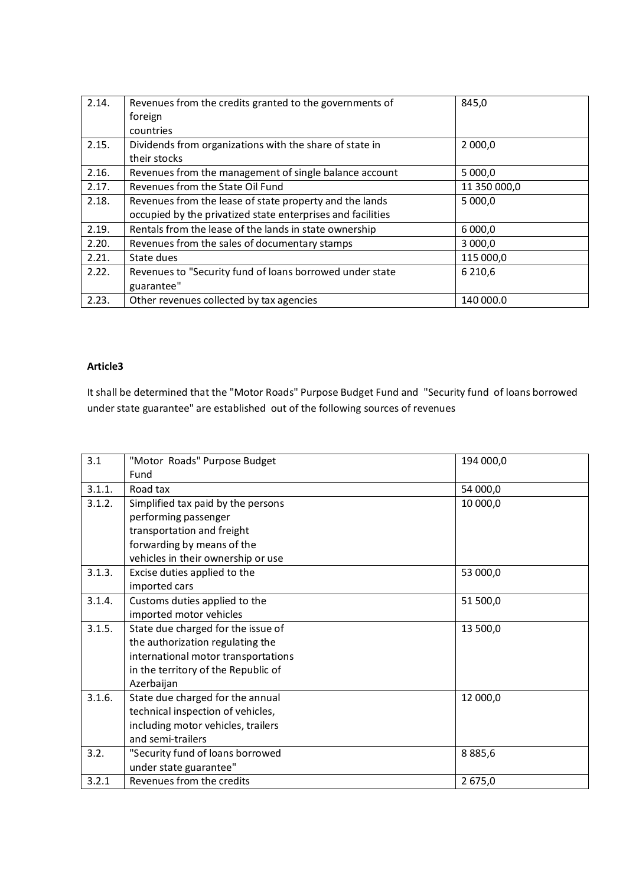| 2.14. | Revenues from the credits granted to the governments of     | 845,0        |
|-------|-------------------------------------------------------------|--------------|
|       | foreign                                                     |              |
|       | countries                                                   |              |
| 2.15. | Dividends from organizations with the share of state in     | 2 000,0      |
|       | their stocks                                                |              |
| 2.16. | Revenues from the management of single balance account      | 5 000,0      |
| 2.17. | Revenues from the State Oil Fund                            | 11 350 000,0 |
| 2.18. | Revenues from the lease of state property and the lands     | 5 000,0      |
|       | occupied by the privatized state enterprises and facilities |              |
| 2.19. | Rentals from the lease of the lands in state ownership      | 6 000,0      |
| 2.20. | Revenues from the sales of documentary stamps               | 3 000,0      |
| 2.21. | State dues                                                  | 115 000,0    |
| 2.22. | Revenues to "Security fund of loans borrowed under state    | 6 2 1 0,6    |
|       | guarantee"                                                  |              |
| 2.23. | Other revenues collected by tax agencies                    | 140 000.0    |

### **Article3**

It shall be determined that the "Motor Roads" Purpose Budget Fund and "Security fund of loans borrowed under state guarantee" are established out of the following sources of revenues

| 3.1    | "Motor Roads" Purpose Budget        | 194 000,0 |
|--------|-------------------------------------|-----------|
|        | Fund                                |           |
| 3.1.1. | Road tax                            | 54 000,0  |
| 3.1.2. | Simplified tax paid by the persons  | 10 000,0  |
|        | performing passenger                |           |
|        | transportation and freight          |           |
|        | forwarding by means of the          |           |
|        | vehicles in their ownership or use  |           |
| 3.1.3. | Excise duties applied to the        | 53 000,0  |
|        | imported cars                       |           |
| 3.1.4. | Customs duties applied to the       | 51 500,0  |
|        | imported motor vehicles             |           |
| 3.1.5. | State due charged for the issue of  | 13 500,0  |
|        | the authorization regulating the    |           |
|        | international motor transportations |           |
|        | in the territory of the Republic of |           |
|        | Azerbaijan                          |           |
| 3.1.6. | State due charged for the annual    | 12 000,0  |
|        | technical inspection of vehicles,   |           |
|        | including motor vehicles, trailers  |           |
|        | and semi-trailers                   |           |
| 3.2.   | "Security fund of loans borrowed    | 8885,6    |
|        | under state guarantee"              |           |
| 3.2.1  | Revenues from the credits           | 2675,0    |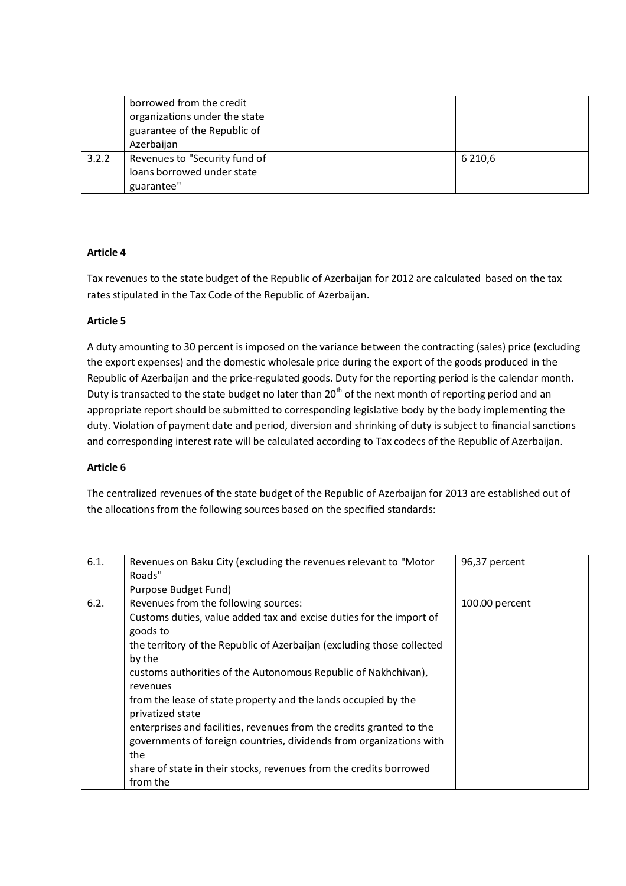|       | borrowed from the credit<br>organizations under the state |           |
|-------|-----------------------------------------------------------|-----------|
|       |                                                           |           |
|       | guarantee of the Republic of                              |           |
|       | Azerbaijan                                                |           |
| 3.2.2 | Revenues to "Security fund of                             | 6 2 1 0,6 |
|       | loans borrowed under state                                |           |
|       | guarantee"                                                |           |

### **Article 4**

Tax revenues to the state budget of the Republic of Azerbaijan for 2012 are calculated based on the tax rates stipulated in the Tax Code of the Republic of Azerbaijan.

### **Article 5**

A duty amounting to 30 percent is imposed on the variance between the contracting (sales) price (excluding the export expenses) and the domestic wholesale price during the export of the goods produced in the Republic of Azerbaijan and the price-regulated goods. Duty for the reporting period is the calendar month. Duty is transacted to the state budget no later than 20<sup>th</sup> of the next month of reporting period and an appropriate report should be submitted to corresponding legislative body by the body implementing the duty. Violation of payment date and period, diversion and shrinking of duty is subject to financial sanctions and corresponding interest rate will be calculated according to Tax codecs of the Republic of Azerbaijan.

### **Article 6**

The centralized revenues of the state budget of the Republic of Azerbaijan for 2013 are established out of the allocations from the following sources based on the specified standards:

| 6.1. | Revenues on Baku City (excluding the revenues relevant to "Motor<br>Roads"                                                                                                                                                                                                                                                                                                                                                                                                                                                                                                                                  | 96,37 percent  |
|------|-------------------------------------------------------------------------------------------------------------------------------------------------------------------------------------------------------------------------------------------------------------------------------------------------------------------------------------------------------------------------------------------------------------------------------------------------------------------------------------------------------------------------------------------------------------------------------------------------------------|----------------|
|      | Purpose Budget Fund)                                                                                                                                                                                                                                                                                                                                                                                                                                                                                                                                                                                        |                |
| 6.2. | Revenues from the following sources:<br>Customs duties, value added tax and excise duties for the import of<br>goods to<br>the territory of the Republic of Azerbaijan (excluding those collected<br>by the<br>customs authorities of the Autonomous Republic of Nakhchivan),<br>revenues<br>from the lease of state property and the lands occupied by the<br>privatized state<br>enterprises and facilities, revenues from the credits granted to the<br>governments of foreign countries, dividends from organizations with<br>the<br>share of state in their stocks, revenues from the credits borrowed | 100.00 percent |
|      | from the                                                                                                                                                                                                                                                                                                                                                                                                                                                                                                                                                                                                    |                |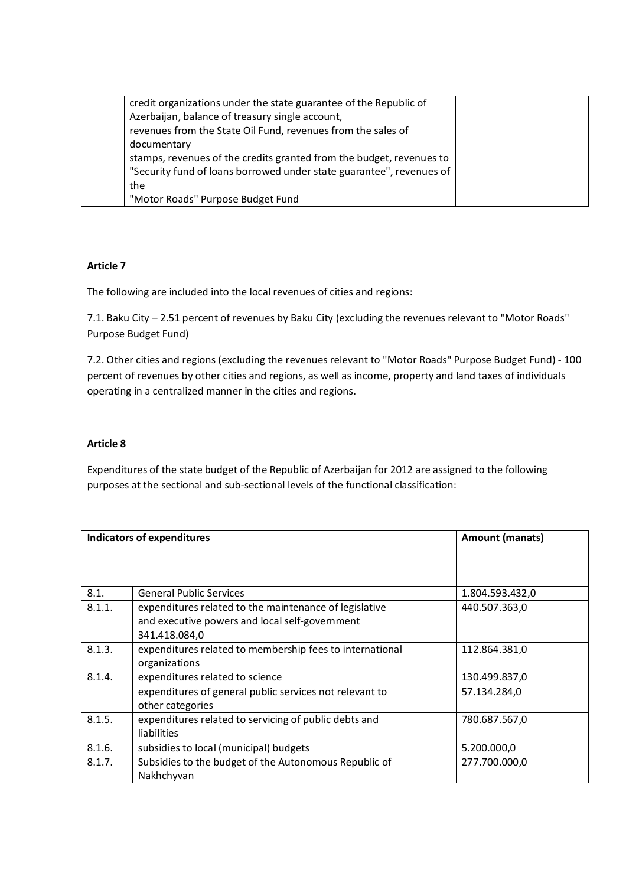| credit organizations under the state guarantee of the Republic of    |  |
|----------------------------------------------------------------------|--|
| Azerbaijan, balance of treasury single account,                      |  |
| revenues from the State Oil Fund, revenues from the sales of         |  |
| documentary                                                          |  |
| stamps, revenues of the credits granted from the budget, revenues to |  |
| "Security fund of loans borrowed under state guarantee", revenues of |  |
| the                                                                  |  |
| "Motor Roads" Purpose Budget Fund                                    |  |

### **Article 7**

The following are included into the local revenues of cities and regions:

7.1. Baku City – 2.51 percent of revenues by Baku City (excluding the revenues relevant to "Motor Roads" Purpose Budget Fund)

7.2. Other cities and regions (excluding the revenues relevant to "Motor Roads" Purpose Budget Fund) - 100 percent of revenues by other cities and regions, as well as income, property and land taxes of individuals operating in a centralized manner in the cities and regions.

### **Article 8**

Expenditures of the state budget of the Republic of Azerbaijan for 2012 are assigned to the following purposes at the sectional and sub-sectional levels of the functional classification:

|        | <b>Indicators of expenditures</b>                        | Amount (manats) |
|--------|----------------------------------------------------------|-----------------|
|        |                                                          |                 |
|        |                                                          |                 |
| 8.1.   | <b>General Public Services</b>                           | 1.804.593.432,0 |
| 8.1.1. | expenditures related to the maintenance of legislative   | 440.507.363,0   |
|        | and executive powers and local self-government           |                 |
|        | 341.418.084,0                                            |                 |
| 8.1.3. | expenditures related to membership fees to international | 112.864.381,0   |
|        | organizations                                            |                 |
| 8.1.4. | expenditures related to science                          | 130.499.837,0   |
|        | expenditures of general public services not relevant to  | 57.134.284,0    |
|        | other categories                                         |                 |
| 8.1.5. | expenditures related to servicing of public debts and    | 780.687.567,0   |
|        | liabilities                                              |                 |
| 8.1.6. | subsidies to local (municipal) budgets                   | 5.200.000,0     |
| 8.1.7. | Subsidies to the budget of the Autonomous Republic of    | 277.700.000,0   |
|        | Nakhchyvan                                               |                 |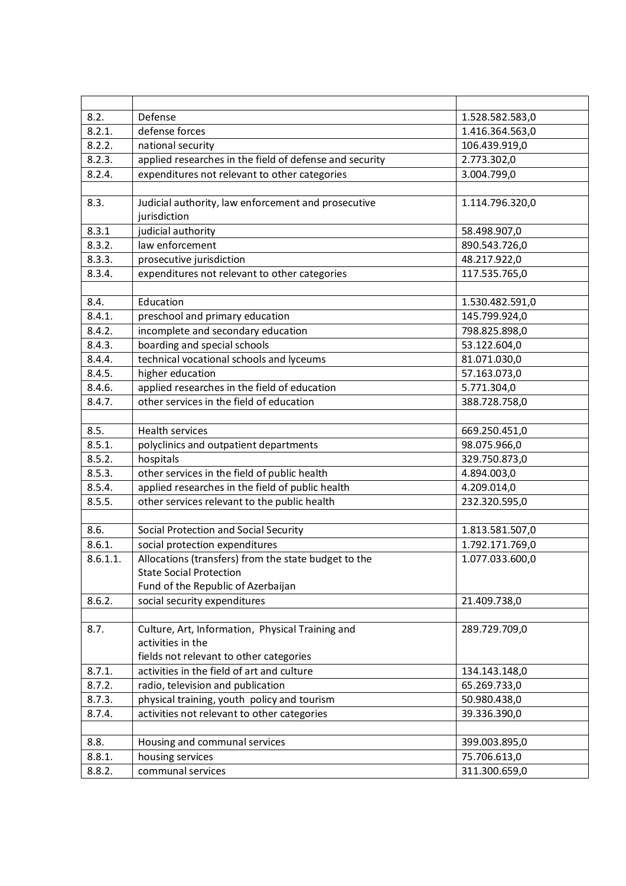| 8.2.     | Defense                                                      | 1.528.582.583,0 |  |  |  |
|----------|--------------------------------------------------------------|-----------------|--|--|--|
| 8.2.1.   | defense forces                                               | 1.416.364.563,0 |  |  |  |
| 8.2.2.   | national security                                            | 106.439.919,0   |  |  |  |
| 8.2.3.   | applied researches in the field of defense and security      | 2.773.302,0     |  |  |  |
| 8.2.4.   | expenditures not relevant to other categories<br>3.004.799,0 |                 |  |  |  |
|          |                                                              |                 |  |  |  |
| 8.3.     | Judicial authority, law enforcement and prosecutive          | 1.114.796.320,0 |  |  |  |
|          | jurisdiction                                                 |                 |  |  |  |
| 8.3.1    | judicial authority                                           | 58.498.907,0    |  |  |  |
| 8.3.2.   | law enforcement                                              | 890.543.726,0   |  |  |  |
| 8.3.3.   | prosecutive jurisdiction                                     | 48.217.922,0    |  |  |  |
| 8.3.4.   | expenditures not relevant to other categories                | 117.535.765,0   |  |  |  |
|          |                                                              |                 |  |  |  |
| 8.4.     | Education                                                    | 1.530.482.591,0 |  |  |  |
| 8.4.1.   | preschool and primary education                              | 145.799.924,0   |  |  |  |
| 8.4.2.   | incomplete and secondary education                           | 798.825.898,0   |  |  |  |
| 8.4.3.   | boarding and special schools                                 | 53.122.604,0    |  |  |  |
| 8.4.4.   | technical vocational schools and lyceums                     | 81.071.030,0    |  |  |  |
| 8.4.5.   | higher education                                             | 57.163.073,0    |  |  |  |
| 8.4.6.   | applied researches in the field of education                 | 5.771.304,0     |  |  |  |
| 8.4.7.   | other services in the field of education                     | 388.728.758,0   |  |  |  |
|          |                                                              |                 |  |  |  |
| 8.5.     | <b>Health services</b>                                       | 669.250.451,0   |  |  |  |
| 8.5.1.   | polyclinics and outpatient departments                       | 98.075.966,0    |  |  |  |
| 8.5.2.   | hospitals                                                    | 329.750.873,0   |  |  |  |
| 8.5.3.   | other services in the field of public health                 | 4.894.003,0     |  |  |  |
| 8.5.4.   | applied researches in the field of public health             | 4.209.014,0     |  |  |  |
| 8.5.5.   | other services relevant to the public health                 | 232.320.595,0   |  |  |  |
|          |                                                              |                 |  |  |  |
| 8.6.     | Social Protection and Social Security                        | 1.813.581.507,0 |  |  |  |
| 8.6.1.   | social protection expenditures                               | 1.792.171.769,0 |  |  |  |
| 8.6.1.1. | Allocations (transfers) from the state budget to the         | 1.077.033.600,0 |  |  |  |
|          | <b>State Social Protection</b>                               |                 |  |  |  |
|          | Fund of the Republic of Azerbaijan                           |                 |  |  |  |
| 8.6.2.   | social security expenditures                                 | 21.409.738,0    |  |  |  |
|          |                                                              |                 |  |  |  |
| 8.7.     | Culture, Art, Information, Physical Training and             | 289.729.709,0   |  |  |  |
|          | activities in the                                            |                 |  |  |  |
|          | fields not relevant to other categories                      |                 |  |  |  |
| 8.7.1.   | activities in the field of art and culture                   | 134.143.148,0   |  |  |  |
| 8.7.2.   | radio, television and publication                            | 65.269.733,0    |  |  |  |
| 8.7.3.   | physical training, youth policy and tourism                  | 50.980.438,0    |  |  |  |
| 8.7.4.   | activities not relevant to other categories                  | 39.336.390,0    |  |  |  |
|          |                                                              |                 |  |  |  |
| 8.8.     | Housing and communal services                                | 399.003.895,0   |  |  |  |
| 8.8.1.   | housing services                                             | 75.706.613,0    |  |  |  |
| 8.8.2.   | communal services                                            | 311.300.659,0   |  |  |  |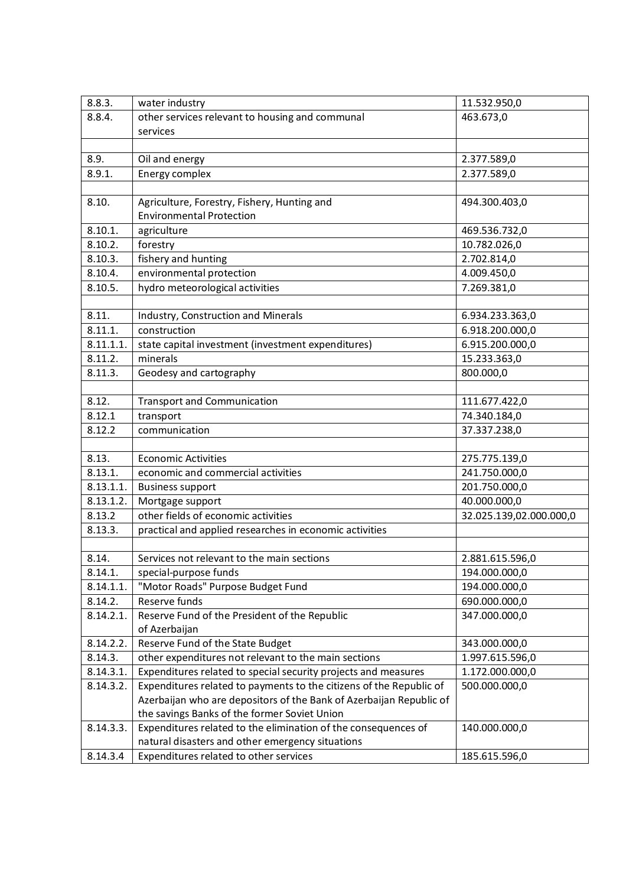| 8.8.3.    | water industry                                                      | 11.532.950,0            |
|-----------|---------------------------------------------------------------------|-------------------------|
| 8.8.4.    | other services relevant to housing and communal                     | 463.673,0               |
|           | services                                                            |                         |
|           |                                                                     |                         |
| 8.9.      | Oil and energy                                                      | 2.377.589,0             |
| 8.9.1.    | Energy complex                                                      | 2.377.589,0             |
|           |                                                                     |                         |
| 8.10.     | Agriculture, Forestry, Fishery, Hunting and                         | 494.300.403,0           |
|           | <b>Environmental Protection</b>                                     |                         |
| 8.10.1.   | agriculture                                                         | 469.536.732,0           |
| 8.10.2.   | forestry                                                            | 10.782.026,0            |
| 8.10.3.   | fishery and hunting                                                 | 2.702.814,0             |
| 8.10.4.   | environmental protection                                            | 4.009.450,0             |
| 8.10.5.   | hydro meteorological activities                                     | 7.269.381,0             |
|           |                                                                     |                         |
| 8.11.     | Industry, Construction and Minerals                                 | 6.934.233.363,0         |
| 8.11.1.   | construction                                                        | 6.918.200.000,0         |
| 8.11.1.1. | state capital investment (investment expenditures)                  | 6.915.200.000,0         |
| 8.11.2.   | minerals                                                            | 15.233.363,0            |
| 8.11.3.   | Geodesy and cartography                                             | 800.000,0               |
|           |                                                                     |                         |
| 8.12.     | <b>Transport and Communication</b>                                  | 111.677.422,0           |
| 8.12.1    | transport                                                           | 74.340.184,0            |
| 8.12.2    | communication                                                       | 37.337.238,0            |
|           |                                                                     |                         |
| 8.13.     | <b>Economic Activities</b>                                          | 275.775.139,0           |
| 8.13.1.   | economic and commercial activities                                  | 241.750.000,0           |
| 8.13.1.1. | <b>Business support</b>                                             | 201.750.000,0           |
| 8.13.1.2. | Mortgage support                                                    | 40.000.000,0            |
| 8.13.2    | other fields of economic activities                                 | 32.025.139,02.000.000,0 |
| 8.13.3.   | practical and applied researches in economic activities             |                         |
|           |                                                                     |                         |
| 8.14.     | Services not relevant to the main sections                          | 2.881.615.596,0         |
| 8.14.1.   | special-purpose funds                                               | 194.000.000,0           |
| 8.14.1.1. | "Motor Roads" Purpose Budget Fund                                   | 194.000.000,0           |
| 8.14.2.   | Reserve funds                                                       | 690.000.000,0           |
| 8.14.2.1. | Reserve Fund of the President of the Republic                       | 347.000.000,0           |
|           | of Azerbaijan                                                       |                         |
| 8.14.2.2. | Reserve Fund of the State Budget                                    | 343.000.000,0           |
| 8.14.3.   | other expenditures not relevant to the main sections                | 1.997.615.596,0         |
| 8.14.3.1. | Expenditures related to special security projects and measures      | 1.172.000.000,0         |
| 8.14.3.2. | Expenditures related to payments to the citizens of the Republic of | 500.000.000,0           |
|           | Azerbaijan who are depositors of the Bank of Azerbaijan Republic of |                         |
|           | the savings Banks of the former Soviet Union                        |                         |
| 8.14.3.3. | Expenditures related to the elimination of the consequences of      | 140.000.000,0           |
|           | natural disasters and other emergency situations                    |                         |
| 8.14.3.4  | Expenditures related to other services                              | 185.615.596,0           |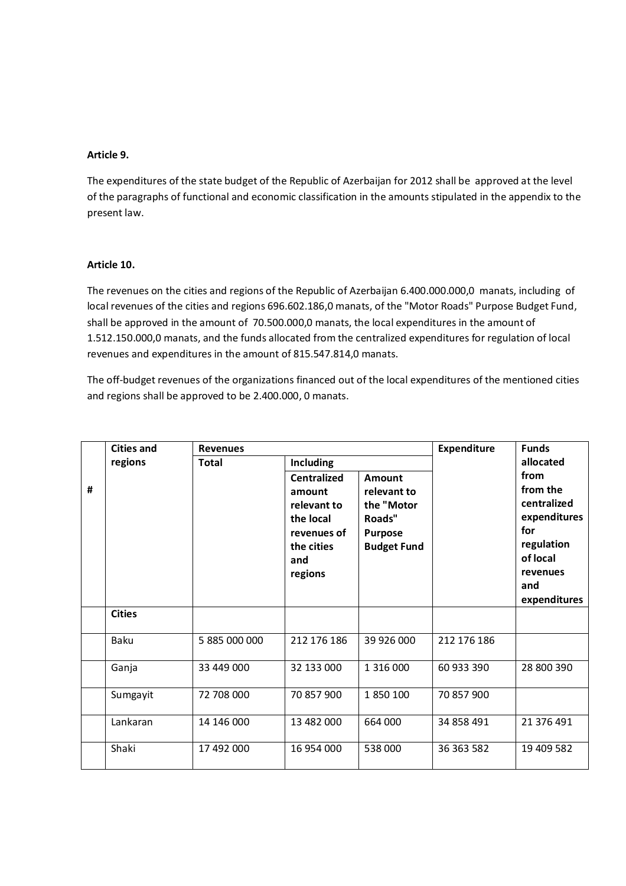### **Article 9.**

The expenditures of the state budget of the Republic of Azerbaijan for 2012 shall be approved at the level of the paragraphs of functional and economic classification in the amounts stipulated in the appendix to the present law.

### **Article 10.**

The revenues on the cities and regions of the Republic of Azerbaijan 6.400.000.000,0 manats, including of local revenues of the cities and regions 696.602.186,0 manats, of the "Motor Roads" Purpose Budget Fund, shall be approved in the amount of 70.500.000,0 manats, the local expenditures in the amount of 1.512.150.000,0 manats, and the funds allocated from the centralized expenditures for regulation of local revenues and expenditures in the amount of 815.547.814,0 manats.

The off-budget revenues of the organizations financed out of the local expenditures of the mentioned cities and regions shall be approved to be 2.400.000, 0 manats.

|   | <b>Cities and</b> | <b>Revenues</b> |                                                                                                                             |                                                                                              | <b>Expenditure</b> | <b>Funds</b>                                                                                                     |
|---|-------------------|-----------------|-----------------------------------------------------------------------------------------------------------------------------|----------------------------------------------------------------------------------------------|--------------------|------------------------------------------------------------------------------------------------------------------|
| # | regions           | <b>Total</b>    | <b>Including</b><br><b>Centralized</b><br>amount<br>relevant to<br>the local<br>revenues of<br>the cities<br>and<br>regions | <b>Amount</b><br>relevant to<br>the "Motor<br>Roads"<br><b>Purpose</b><br><b>Budget Fund</b> |                    | allocated<br>from<br>from the<br>centralized<br>expenditures<br>for<br>regulation<br>of local<br>revenues<br>and |
|   |                   |                 |                                                                                                                             |                                                                                              |                    | expenditures                                                                                                     |
|   | <b>Cities</b>     |                 |                                                                                                                             |                                                                                              |                    |                                                                                                                  |
|   | Baku              | 5 885 000 000   | 212 176 186                                                                                                                 | 39 926 000                                                                                   | 212 176 186        |                                                                                                                  |
|   | Ganja             | 33 449 000      | 32 133 000                                                                                                                  | 1 316 000                                                                                    | 60 933 390         | 28 800 390                                                                                                       |
|   | Sumgayit          | 72 708 000      | 70 857 900                                                                                                                  | 1850100                                                                                      | 70 857 900         |                                                                                                                  |
|   | Lankaran          | 14 146 000      | 13 482 000                                                                                                                  | 664 000                                                                                      | 34 858 491         | 21 376 491                                                                                                       |
|   | Shaki             | 17 492 000      | 16 954 000                                                                                                                  | 538000                                                                                       | 36 363 582         | 19 409 582                                                                                                       |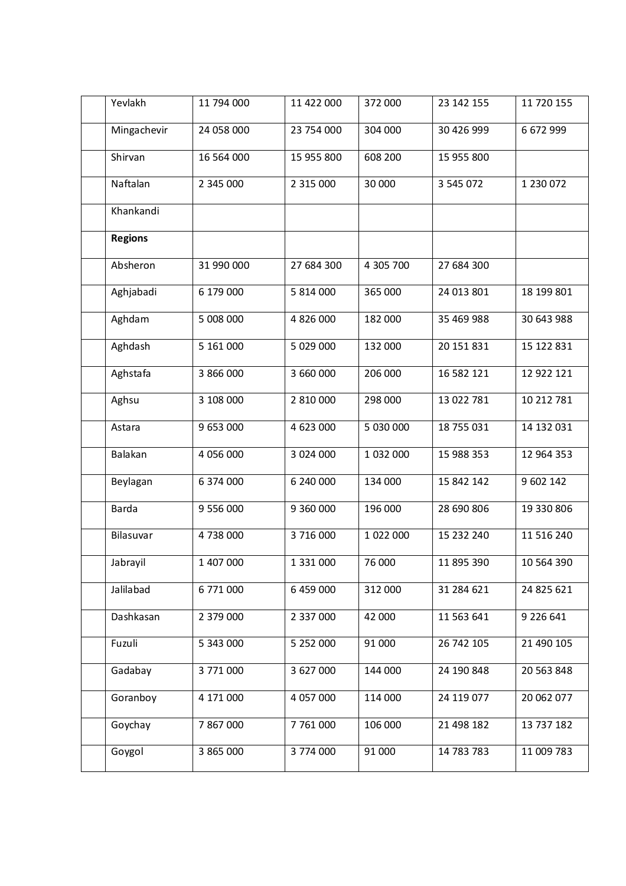| Yevlakh        | 11 794 000 | 11 422 000 | 372 000   | 23 142 155 | 11 720 155 |
|----------------|------------|------------|-----------|------------|------------|
| Mingachevir    | 24 058 000 | 23 754 000 | 304 000   | 30 426 999 | 6 672 999  |
| Shirvan        | 16 564 000 | 15 955 800 | 608 200   | 15 955 800 |            |
| Naftalan       | 2 345 000  | 2 315 000  | 30 000    | 3 545 072  | 1 230 072  |
| Khankandi      |            |            |           |            |            |
| <b>Regions</b> |            |            |           |            |            |
| Absheron       | 31 990 000 | 27 684 300 | 4 305 700 | 27 684 300 |            |
| Aghjabadi      | 6 179 000  | 5 814 000  | 365 000   | 24 013 801 | 18 199 801 |
| Aghdam         | 5 008 000  | 4 826 000  | 182 000   | 35 469 988 | 30 643 988 |
| Aghdash        | 5 161 000  | 5 029 000  | 132 000   | 20 151 831 | 15 122 831 |
| Aghstafa       | 3 866 000  | 3 660 000  | 206 000   | 16 582 121 | 12 922 121 |
| Aghsu          | 3 108 000  | 2 810 000  | 298 000   | 13 022 781 | 10 212 781 |
| Astara         | 9 653 000  | 4 623 000  | 5 030 000 | 18 755 031 | 14 132 031 |
| Balakan        | 4 056 000  | 3 024 000  | 1 032 000 | 15 988 353 | 12 964 353 |
| Beylagan       | 6 374 000  | 6 240 000  | 134 000   | 15 842 142 | 9 602 142  |
| <b>Barda</b>   | 9 556 000  | 9 360 000  | 196 000   | 28 690 806 | 19 330 806 |
| Bilasuvar      | 4738000    | 3 716 000  | 1 022 000 | 15 232 240 | 11 516 240 |
| Jabrayil       | 1 407 000  | 1 331 000  | 76 000    | 11 895 390 | 10 564 390 |
| Jalilabad      | 6 771 000  | 6 459 000  | 312 000   | 31 284 621 | 24 825 621 |
| Dashkasan      | 2 379 000  | 2 337 000  | 42 000    | 11 563 641 | 9 226 641  |
| Fuzuli         | 5 343 000  | 5 252 000  | 91 000    | 26 742 105 | 21 490 105 |
| Gadabay        | 3 771 000  | 3 627 000  | 144 000   | 24 190 848 | 20 563 848 |
| Goranboy       | 4 171 000  | 4 057 000  | 114 000   | 24 119 077 | 20 062 077 |
| Goychay        | 7 867 000  | 7 761 000  | 106 000   | 21 498 182 | 13 737 182 |
| Goygol         | 3 865 000  | 3 774 000  | 91 000    | 14 783 783 | 11 009 783 |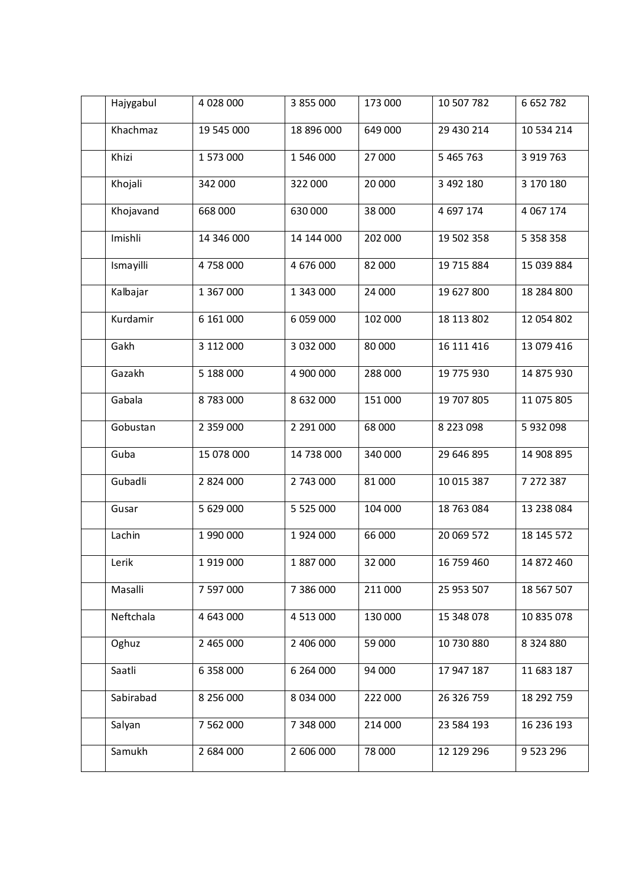| Hajygabul | 4 028 000  | 3 855 000     | 173 000 | 10 507 782 | 6 652 782     |
|-----------|------------|---------------|---------|------------|---------------|
| Khachmaz  | 19 545 000 | 18 896 000    | 649 000 | 29 430 214 | 10 534 214    |
| Khizi     | 1 573 000  | 1 546 000     | 27 000  | 5 465 763  | 3 919 763     |
| Khojali   | 342 000    | 322 000       | 20 000  | 3 492 180  | 3 170 180     |
| Khojavand | 668 000    | 630 000       | 38 000  | 4 697 174  | 4 0 67 1 74   |
| Imishli   | 14 346 000 | 14 144 000    | 202 000 | 19 502 358 | 5 358 358     |
| Ismayilli | 4 758 000  | 4 676 000     | 82 000  | 19 715 884 | 15 039 884    |
| Kalbajar  | 1 367 000  | 1 343 000     | 24 000  | 19 627 800 | 18 284 800    |
| Kurdamir  | 6 161 000  | 6 059 000     | 102 000 | 18 113 802 | 12 054 802    |
| Gakh      | 3 112 000  | 3 032 000     | 80 000  | 16 111 416 | 13 079 416    |
| Gazakh    | 5 188 000  | 4 900 000     | 288 000 | 19 775 930 | 14 875 930    |
| Gabala    | 8783000    | 8 632 000     | 151 000 | 19 707 805 | 11 075 805    |
| Gobustan  | 2 359 000  | 2 291 000     | 68 000  | 8 223 098  | 5 932 098     |
| Guba      | 15 078 000 | 14 738 000    | 340 000 | 29 646 895 | 14 908 895    |
| Gubadli   | 2 824 000  | 2 743 000     | 81 000  | 10 015 387 | 7 272 387     |
| Gusar     | 5 629 000  | 5 5 2 5 0 0 0 | 104 000 | 18 763 084 | 13 238 084    |
| Lachin    | 1 990 000  | 1924 000      | 66 000  | 20 069 572 | 18 145 572    |
| Lerik     | 1 919 000  | 1 887 000     | 32 000  | 16 759 460 | 14 872 460    |
| Masalli   | 7 597 000  | 7 386 000     | 211 000 | 25 953 507 | 18 567 507    |
| Neftchala | 4 643 000  | 4 513 000     | 130 000 | 15 348 078 | 10 835 078    |
| Oghuz     | 2 465 000  | 2 406 000     | 59 000  | 10 730 880 | 8 3 2 4 8 8 0 |
| Saatli    | 6 358 000  | 6 264 000     | 94 000  | 17 947 187 | 11 683 187    |
| Sabirabad | 8 256 000  | 8 0 34 0 00   | 222 000 | 26 326 759 | 18 292 759    |
| Salyan    | 7 562 000  | 7 348 000     | 214 000 | 23 584 193 | 16 236 193    |
| Samukh    | 2 684 000  | 2 606 000     | 78 000  | 12 129 296 | 9 5 23 2 96   |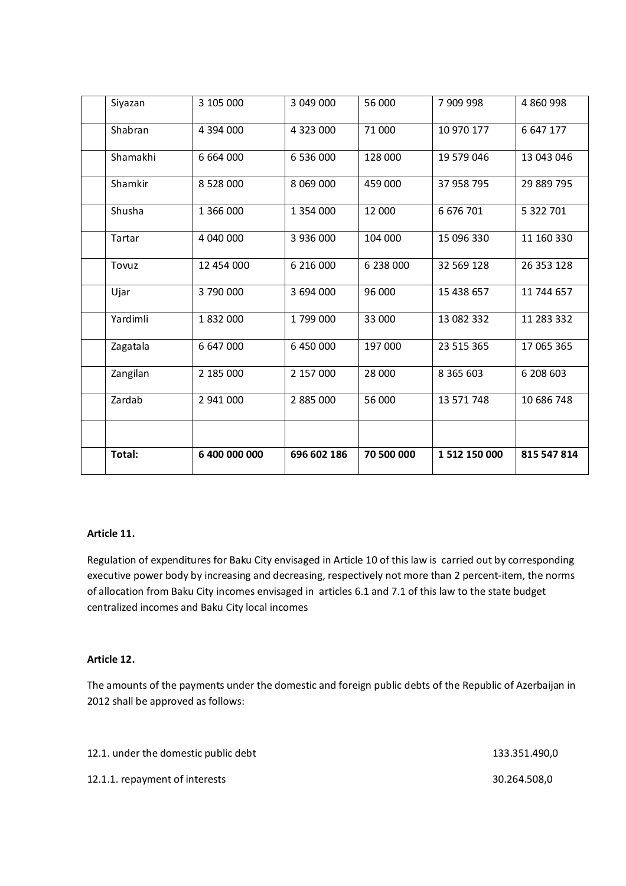| Siyazan  | 3 105 000     | 3 049 000   | 56 000     | 7 909 998     | 4 860 998   |
|----------|---------------|-------------|------------|---------------|-------------|
| Shabran  | 4 394 000     | 4 323 000   | 71 000     | 10 970 177    | 6 647 177   |
| Shamakhi | 6 664 000     | 6 536 000   | 128 000    | 19 579 046    | 13 043 046  |
| Shamkir  | 8 528 000     | 8 069 000   | 459 000    | 37 958 795    | 29 889 795  |
| Shusha   | 1 366 000     | 1 354 000   | 12 000     | 6 676 701     | 5 322 701   |
| Tartar   | 4 040 000     | 3 936 000   | 104 000    | 15 096 330    | 11 160 330  |
| Tovuz    | 12 454 000    | 6 216 000   | 6 238 000  | 32 569 128    | 26 353 128  |
| Ujar     | 3790000       | 3 694 000   | 96 000     | 15 438 657    | 11 744 657  |
| Yardimli | 1832000       | 1799000     | 33 000     | 13 082 332    | 11 283 332  |
| Zagatala | 6 647 000     | 6 450 000   | 197 000    | 23 515 365    | 17 065 365  |
| Zangilan | 2 185 000     | 2 157 000   | 28 000     | 8 3 6 5 6 0 3 | 6 208 603   |
| Zardab   | 2 941 000     | 2 885 000   | 56 000     | 13 571 748    | 10 686 748  |
|          |               |             |            |               |             |
| Total:   | 6 400 000 000 | 696 602 186 | 70 500 000 | 1 512 150 000 | 815 547 814 |

### **Article 11.**

Regulation of expenditures for Baku City envisaged in Article 10 of this law is carried out by corresponding executive power body by increasing and decreasing, respectively not more than 2 percent-item, the norms of allocation from Baku City incomes envisaged in articles 6.1 and 7.1 of this law to the state budget centralized incomes and Baku City local incomes

### **Article 12.**

The amounts of the payments under the domestic and foreign public debts of the Republic of Azerbaijan in 2012 shall be approved as follows:

| 12.1. under the domestic public debt | 133.351.490,0 |
|--------------------------------------|---------------|
| 12.1.1. repayment of interests       | 30.264.508.0  |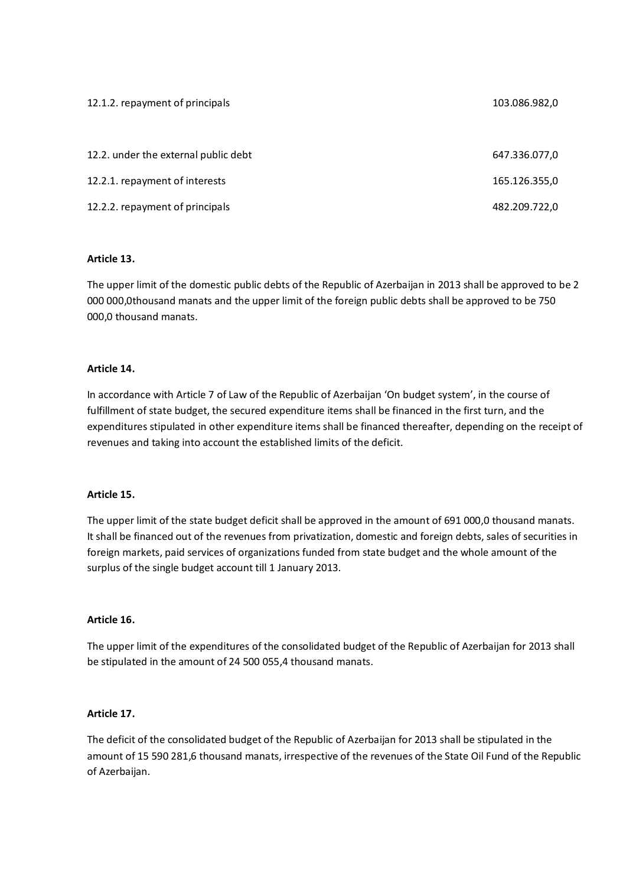| 12.1.2. repayment of principals      | 103.086.982,0 |
|--------------------------------------|---------------|
|                                      |               |
| 12.2. under the external public debt | 647.336.077,0 |
| 12.2.1. repayment of interests       | 165.126.355,0 |
| 12.2.2. repayment of principals      | 482.209.722,0 |

### **Article 13.**

The upper limit of the domestic public debts of the Republic of Azerbaijan in 2013 shall be approved to be 2 000 000,0thousand manats and the upper limit of the foreign public debts shall be approved to be 750 000,0 thousand manats.

### **Article 14.**

In accordance with Article 7 of Law of the Republic of Azerbaijan 'On budget system', in the course of fulfillment of state budget, the secured expenditure items shall be financed in the first turn, and the expenditures stipulated in other expenditure items shall be financed thereafter, depending on the receipt of revenues and taking into account the established limits of the deficit.

### **Article 15.**

The upper limit of the state budget deficit shall be approved in the amount of 691 000,0 thousand manats. It shall be financed out of the revenues from privatization, domestic and foreign debts, sales of securities in foreign markets, paid services of organizations funded from state budget and the whole amount of the surplus of the single budget account till 1 January 2013.

### **Article 16.**

The upper limit of the expenditures of the consolidated budget of the Republic of Azerbaijan for 2013 shall be stipulated in the amount of 24 500 055,4 thousand manats.

### **Article 17.**

The deficit of the consolidated budget of the Republic of Azerbaijan for 2013 shall be stipulated in the amount of 15 590 281,6 thousand manats, irrespective of the revenues of the State Oil Fund of the Republic of Azerbaijan.